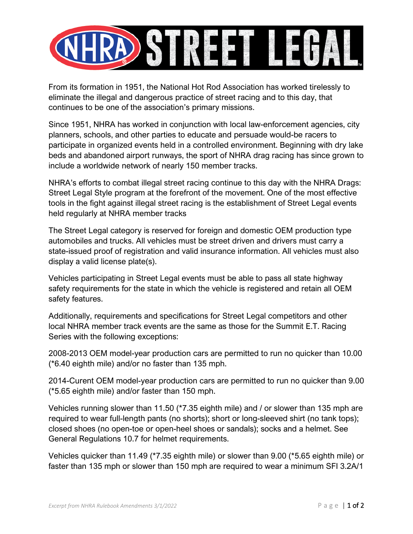

From its formation in 1951, the National Hot Rod Association has worked tirelessly to eliminate the illegal and dangerous practice of street racing and to this day, that continues to be one of the association's primary missions.

Since 1951, NHRA has worked in conjunction with local law-enforcement agencies, city planners, schools, and other parties to educate and persuade would-be racers to participate in organized events held in a controlled environment. Beginning with dry lake beds and abandoned airport runways, the sport of NHRA drag racing has since grown to include a worldwide network of nearly 150 member tracks.

NHRA's efforts to combat illegal street racing continue to this day with the NHRA Drags: Street Legal Style program at the forefront of the movement. One of the most effective tools in the fight against illegal street racing is the establishment of Street Legal events held regularly at NHRA member tracks

The Street Legal category is reserved for foreign and domestic OEM production type automobiles and trucks. All vehicles must be street driven and drivers must carry a state-issued proof of registration and valid insurance information. All vehicles must also display a valid license plate(s).

Vehicles participating in Street Legal events must be able to pass all state highway safety requirements for the state in which the vehicle is registered and retain all OEM safety features.

Additionally, requirements and specifications for Street Legal competitors and other local NHRA member track events are the same as those for the Summit E.T. Racing Series with the following exceptions:

2008-2013 OEM model-year production cars are permitted to run no quicker than 10.00 (\*6.40 eighth mile) and/or no faster than 135 mph.

2014-Curent OEM model-year production cars are permitted to run no quicker than 9.00 (\*5.65 eighth mile) and/or faster than 150 mph.

Vehicles running slower than 11.50 (\*7.35 eighth mile) and / or slower than 135 mph are required to wear full-length pants (no shorts); short or long-sleeved shirt (no tank tops); closed shoes (no open-toe or open-heel shoes or sandals); socks and a helmet. See General Regulations 10.7 for helmet requirements.

Vehicles quicker than 11.49 (\*7.35 eighth mile) or slower than 9.00 (\*5.65 eighth mile) or faster than 135 mph or slower than 150 mph are required to wear a minimum SFI 3.2A/1